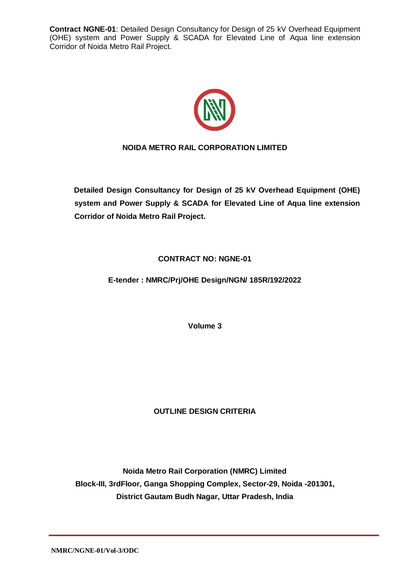

# **NOIDA METRO RAIL CORPORATION LIMITED**

**Detailed Design Consultancy for Design of 25 kV Overhead Equipment (OHE) system and Power Supply & SCADA for Elevated Line of Aqua line extension Corridor of Noida Metro Rail Project.**

**CONTRACT NO: NGNE-01**

**E-tender : NMRC/Prj/OHE Design/NGN/ 185R/192/2022**

**Volume 3**

# **OUTLINE DESIGN CRITERIA**

**Noida Metro Rail Corporation (NMRC) Limited Block-III, 3rdFloor, Ganga Shopping Complex, Sector-29, Noida -201301, District Gautam Budh Nagar, Uttar Pradesh, India**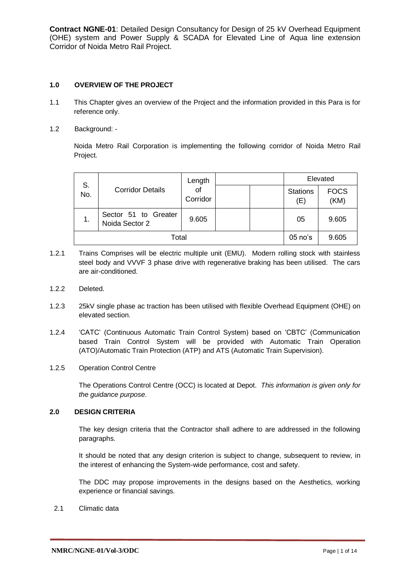# **1.0 OVERVIEW OF THE PROJECT**

- 1.1 This Chapter gives an overview of the Project and the information provided in this Para is for reference only.
- 1.2 Background: -

Noida Metro Rail Corporation is implementing the following corridor of Noida Metro Rail Project.

| S.<br>No.      | <b>Corridor Details</b>                | Length         |           | Elevated |                        |                     |
|----------------|----------------------------------------|----------------|-----------|----------|------------------------|---------------------|
|                |                                        | of<br>Corridor |           |          | <b>Stations</b><br>(E) | <b>FOCS</b><br>(KM) |
| $\mathbf{1}$ . | Sector 51 to Greater<br>Noida Sector 2 | 9.605          |           |          | 05                     | 9.605               |
| Total          |                                        |                | $05$ no's | 9.605    |                        |                     |

- 1.2.1 Trains Comprises will be electric multiple unit (EMU). Modern rolling stock with stainless steel body and VVVF 3 phase drive with regenerative braking has been utilised. The cars are air-conditioned.
- 1.2.2 Deleted.
- 1.2.3 25kV single phase ac traction has been utilised with flexible Overhead Equipment (OHE) on elevated section.
- 1.2.4 'CATC' (Continuous Automatic Train Control System) based on 'CBTC' (Communication based Train Control System will be provided with Automatic Train Operation (ATO)/Automatic Train Protection (ATP) and ATS (Automatic Train Supervision).
- 1.2.5 Operation Control Centre

The Operations Control Centre (OCC) is located at Depot. *This information is given only for the guidance purpose*.

#### **2.0 DESIGN CRITERIA**

The key design criteria that the Contractor shall adhere to are addressed in the following paragraphs.

It should be noted that any design criterion is subject to change, subsequent to review, in the interest of enhancing the System-wide performance, cost and safety.

The DDC may propose improvements in the designs based on the Aesthetics, working experience or financial savings.

2.1 Climatic data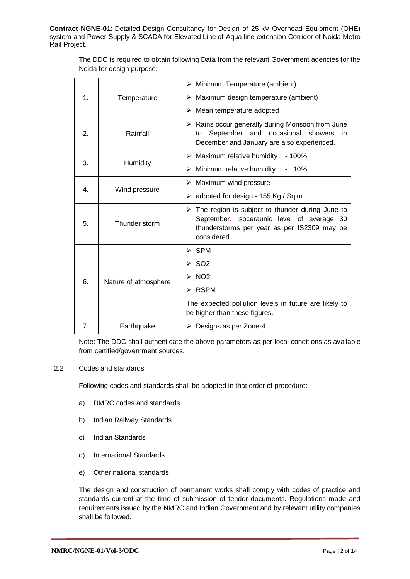The DDC is required to obtain following Data from the relevant Government agencies for the Noida for design purpose:

|                                   |                      | $\triangleright$ Minimum Temperature (ambient)                                                                                                                               |  |  |  |
|-----------------------------------|----------------------|------------------------------------------------------------------------------------------------------------------------------------------------------------------------------|--|--|--|
| $\mathbf 1$ .                     | Temperature          | Maximum design temperature (ambient)<br>➤                                                                                                                                    |  |  |  |
|                                   |                      | Mean temperature adopted<br>➤                                                                                                                                                |  |  |  |
| 2.                                | Rainfall             | $\triangleright$ Rains occur generally during Monsoon from June<br>September and occasional<br>showers<br>to<br>in.<br>December and January are also experienced.            |  |  |  |
|                                   |                      | $\triangleright$ Maximum relative humidity<br>- 100%                                                                                                                         |  |  |  |
| 3.                                | Humidity             | Minimum relative humidity<br>➤<br>10%                                                                                                                                        |  |  |  |
|                                   |                      | Maximum wind pressure<br>≻                                                                                                                                                   |  |  |  |
| $\overline{4}$ .<br>Wind pressure |                      | adopted for design - 155 Kg / Sq.m<br>➤                                                                                                                                      |  |  |  |
| 5.                                | Thunder storm        | $\triangleright$ The region is subject to thunder during June to<br>September. Isoceraunic level of average 30<br>thunderstorms per year as per IS2309 may be<br>considered. |  |  |  |
|                                   |                      | $>$ SPM                                                                                                                                                                      |  |  |  |
|                                   | Nature of atmosphere | $>$ SO2                                                                                                                                                                      |  |  |  |
| 6.                                |                      | NO <sub>2</sub><br>$\blacktriangleright$                                                                                                                                     |  |  |  |
|                                   |                      | ≻ RSPM                                                                                                                                                                       |  |  |  |
|                                   |                      | The expected pollution levels in future are likely to<br>be higher than these figures.                                                                                       |  |  |  |
| 7.                                | Earthquake           | $\triangleright$ Designs as per Zone-4.                                                                                                                                      |  |  |  |

Note: The DDC shall authenticate the above parameters as per local conditions as available from certified/government sources.

#### 2.2 Codes and standards

Following codes and standards shall be adopted in that order of procedure:

- a) DMRC codes and standards.
- b) Indian Railway Standards
- c) Indian Standards
- d) International Standards
- e) Other national standards

The design and construction of permanent works shall comply with codes of practice and standards current at the time of submission of tender documents. Regulations made and requirements issued by the NMRC and Indian Government and by relevant utility companies shall be followed.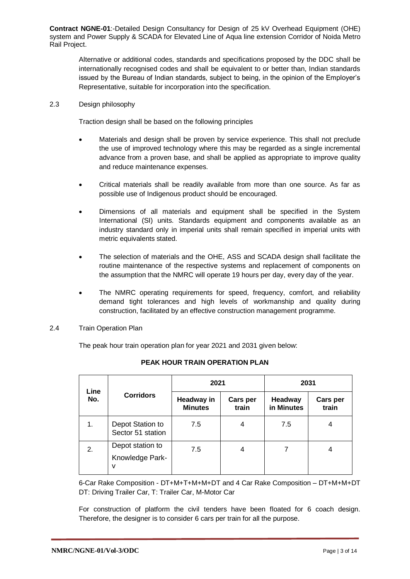Alternative or additional codes, standards and specifications proposed by the DDC shall be internationally recognised codes and shall be equivalent to or better than, Indian standards issued by the Bureau of Indian standards, subject to being, in the opinion of the Employer's Representative, suitable for incorporation into the specification.

2.3 Design philosophy

Traction design shall be based on the following principles

- Materials and design shall be proven by service experience. This shall not preclude the use of improved technology where this may be regarded as a single incremental advance from a proven base, and shall be applied as appropriate to improve quality and reduce maintenance expenses.
- Critical materials shall be readily available from more than one source. As far as possible use of Indigenous product should be encouraged.
- Dimensions of all materials and equipment shall be specified in the System International (SI) units. Standards equipment and components available as an industry standard only in imperial units shall remain specified in imperial units with metric equivalents stated.
- The selection of materials and the OHE, ASS and SCADA design shall facilitate the routine maintenance of the respective systems and replacement of components on the assumption that the NMRC will operate 19 hours per day, every day of the year.
- The NMRC operating requirements for speed, frequency, comfort, and reliability demand tight tolerances and high levels of workmanship and quality during construction, facilitated by an effective construction management programme.
- 2.4 Train Operation Plan

The peak hour train operation plan for year 2021 and 2031 given below:

|             | <b>Corridors</b>                         | 2021                                |                   | 2031                         |                          |  |
|-------------|------------------------------------------|-------------------------------------|-------------------|------------------------------|--------------------------|--|
| Line<br>No. |                                          | <b>Headway in</b><br><b>Minutes</b> | Cars per<br>train | <b>Headway</b><br>in Minutes | <b>Cars per</b><br>train |  |
| 1.          | Depot Station to<br>Sector 51 station    | 7.5                                 | 4                 | 7.5                          | 4                        |  |
| 2.          | Depot station to<br>Knowledge Park-<br>٧ | 7.5                                 | 4                 |                              | 4                        |  |

# **PEAK HOUR TRAIN OPERATION PLAN**

6-Car Rake Composition - DT+M+T+M+M+DT and 4 Car Rake Composition – DT+M+M+DT DT: Driving Trailer Car, T: Trailer Car, M-Motor Car

For construction of platform the civil tenders have been floated for 6 coach design. Therefore, the designer is to consider 6 cars per train for all the purpose.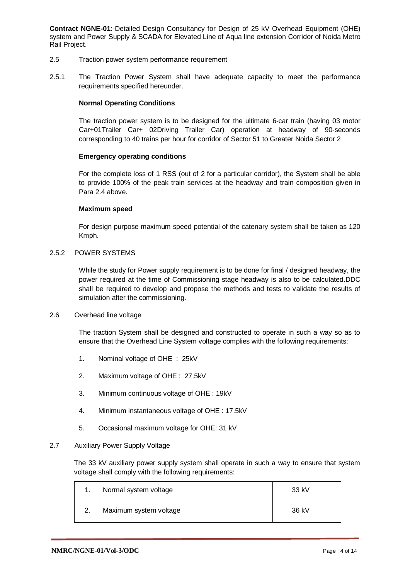- 2.5 Traction power system performance requirement
- 2.5.1 The Traction Power System shall have adequate capacity to meet the performance requirements specified hereunder.

## **Normal Operating Conditions**

The traction power system is to be designed for the ultimate 6-car train (having 03 motor Car+01Trailer Car+ 02Driving Trailer Car) operation at headway of 90-seconds corresponding to 40 trains per hour for corridor of Sector 51 to Greater Noida Sector 2

## **Emergency operating conditions**

For the complete loss of 1 RSS (out of 2 for a particular corridor), the System shall be able to provide 100% of the peak train services at the headway and train composition given in Para 2.4 above.

## **Maximum speed**

For design purpose maximum speed potential of the catenary system shall be taken as 120 Kmph.

## 2.5.2 POWER SYSTEMS

While the study for Power supply requirement is to be done for final / designed headway, the power required at the time of Commissioning stage headway is also to be calculated.DDC shall be required to develop and propose the methods and tests to validate the results of simulation after the commissioning.

#### 2.6 Overhead line voltage

The traction System shall be designed and constructed to operate in such a way so as to ensure that the Overhead Line System voltage complies with the following requirements:

- 1. Nominal voltage of OHE : 25kV
- 2. Maximum voltage of OHE : 27.5kV
- 3. Minimum continuous voltage of OHE : 19kV
- 4. Minimum instantaneous voltage of OHE : 17.5kV
- 5. Occasional maximum voltage for OHE: 31 kV

#### 2.7 Auxiliary Power Supply Voltage

The 33 kV auxiliary power supply system shall operate in such a way to ensure that system voltage shall comply with the following requirements:

| Normal system voltage  | 33 kV |
|------------------------|-------|
| Maximum system voltage | 36 kV |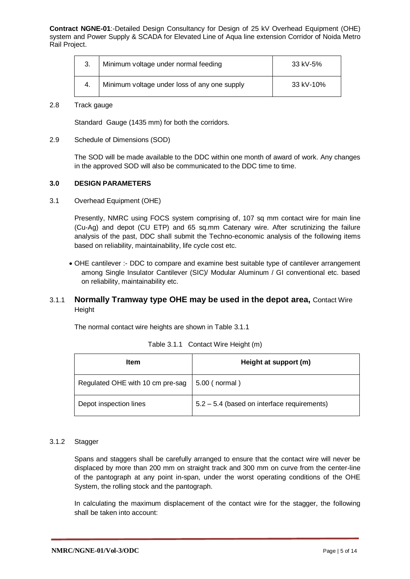| 3. | Minimum voltage under normal feeding         | 33 kV-5%  |
|----|----------------------------------------------|-----------|
| 4. | Minimum voltage under loss of any one supply | 33 kV-10% |

# 2.8 Track gauge

Standard Gauge (1435 mm) for both the corridors.

## 2.9 Schedule of Dimensions (SOD)

The SOD will be made available to the DDC within one month of award of work. Any changes in the approved SOD will also be communicated to the DDC time to time.

## **3.0 DESIGN PARAMETERS**

3.1 Overhead Equipment (OHE)

Presently, NMRC using FOCS system comprising of, 107 sq mm contact wire for main line (Cu-Ag) and depot (CU ETP) and 65 sq.mm Catenary wire. After scrutinizing the failure analysis of the past, DDC shall submit the Techno-economic analysis of the following items based on reliability, maintainability, life cycle cost etc.

 OHE cantilever :- DDC to compare and examine best suitable type of cantilever arrangement among Single Insulator Cantilever (SIC)/ Modular Aluminum / GI conventional etc. based on reliability, maintainability etc.

# 3.1.1 **Normally Tramway type OHE may be used in the depot area,** Contact Wire Height

The normal contact wire heights are shown in Table 3.1.1

| <b>Item</b>                      | Height at support (m)                       |
|----------------------------------|---------------------------------------------|
| Regulated OHE with 10 cm pre-sag | 5.00 ( normal )                             |
| Depot inspection lines           | 5.2 – 5.4 (based on interface requirements) |

|  | Table 3.1.1 Contact Wire Height (m) |
|--|-------------------------------------|
|--|-------------------------------------|

## 3.1.2 Stagger

Spans and staggers shall be carefully arranged to ensure that the contact wire will never be displaced by more than 200 mm on straight track and 300 mm on curve from the center-line of the pantograph at any point in-span, under the worst operating conditions of the OHE System, the rolling stock and the pantograph.

In calculating the maximum displacement of the contact wire for the stagger, the following shall be taken into account: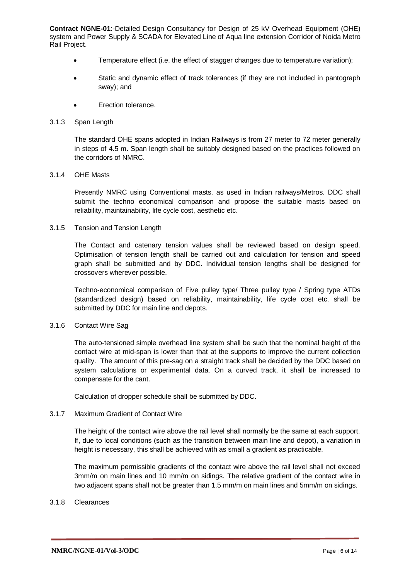- Temperature effect (i.e. the effect of stagger changes due to temperature variation);
- Static and dynamic effect of track tolerances (if they are not included in pantograph sway); and
- Erection tolerance.

#### 3.1.3 Span Length

The standard OHE spans adopted in Indian Railways is from 27 meter to 72 meter generally in steps of 4.5 m. Span length shall be suitably designed based on the practices followed on the corridors of NMRC.

#### 3.1.4 OHE Masts

Presently NMRC using Conventional masts, as used in Indian railways/Metros. DDC shall submit the techno economical comparison and propose the suitable masts based on reliability, maintainability, life cycle cost, aesthetic etc.

#### 3.1.5 Tension and Tension Length

The Contact and catenary tension values shall be reviewed based on design speed. Optimisation of tension length shall be carried out and calculation for tension and speed graph shall be submitted and by DDC. Individual tension lengths shall be designed for crossovers wherever possible.

Techno-economical comparison of Five pulley type/ Three pulley type / Spring type ATDs (standardized design) based on reliability, maintainability, life cycle cost etc. shall be submitted by DDC for main line and depots.

#### 3.1.6 Contact Wire Sag

The auto-tensioned simple overhead line system shall be such that the nominal height of the contact wire at mid-span is lower than that at the supports to improve the current collection quality. The amount of this pre-sag on a straight track shall be decided by the DDC based on system calculations or experimental data. On a curved track, it shall be increased to compensate for the cant.

Calculation of dropper schedule shall be submitted by DDC.

#### 3.1.7 Maximum Gradient of Contact Wire

The height of the contact wire above the rail level shall normally be the same at each support. If, due to local conditions (such as the transition between main line and depot), a variation in height is necessary, this shall be achieved with as small a gradient as practicable.

The maximum permissible gradients of the contact wire above the rail level shall not exceed 3mm/m on main lines and 10 mm/m on sidings. The relative gradient of the contact wire in two adjacent spans shall not be greater than 1.5 mm/m on main lines and 5mm/m on sidings.

## 3.1.8 Clearances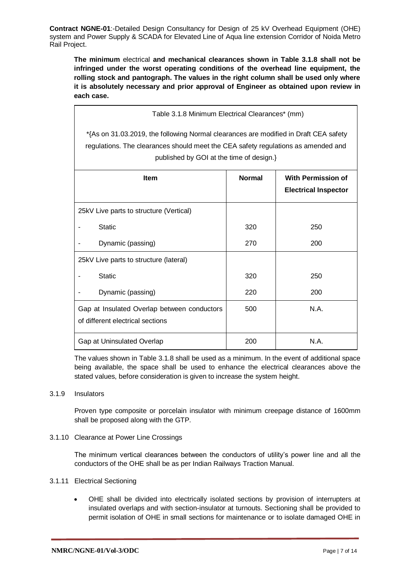**The minimum** electrical **and mechanical clearances shown in Table 3.1.8 shall not be infringed under the worst operating conditions of the overhead line equipment, the rolling stock and pantograph. The values in the right column shall be used only where it is absolutely necessary and prior approval of Engineer as obtained upon review in each case.**

| Table 3.1.8 Minimum Electrical Clearances* (mm)                                                                                                                                                                       |               |                                                          |  |
|-----------------------------------------------------------------------------------------------------------------------------------------------------------------------------------------------------------------------|---------------|----------------------------------------------------------|--|
| *{As on 31.03.2019, the following Normal clearances are modified in Draft CEA safety<br>regulations. The clearances should meet the CEA safety regulations as amended and<br>published by GOI at the time of design.} |               |                                                          |  |
| <b>Item</b>                                                                                                                                                                                                           | <b>Normal</b> | <b>With Permission of</b><br><b>Electrical Inspector</b> |  |
| 25kV Live parts to structure (Vertical)                                                                                                                                                                               |               |                                                          |  |
| <b>Static</b>                                                                                                                                                                                                         | 320           | 250                                                      |  |
| Dynamic (passing)                                                                                                                                                                                                     | 270           | 200                                                      |  |
| 25kV Live parts to structure (lateral)                                                                                                                                                                                |               |                                                          |  |
| <b>Static</b>                                                                                                                                                                                                         | 320           | 250                                                      |  |
| Dynamic (passing)                                                                                                                                                                                                     | 220           | 200                                                      |  |
| Gap at Insulated Overlap between conductors<br>of different electrical sections                                                                                                                                       | 500           | N.A.                                                     |  |
| N.A.<br>Gap at Uninsulated Overlap<br>200                                                                                                                                                                             |               |                                                          |  |

The values shown in Table 3.1.8 shall be used as a minimum. In the event of additional space being available, the space shall be used to enhance the electrical clearances above the stated values, before consideration is given to increase the system height.

# 3.1.9 Insulators

Proven type composite or porcelain insulator with minimum creepage distance of 1600mm shall be proposed along with the GTP.

# 3.1.10 Clearance at Power Line Crossings

The minimum vertical clearances between the conductors of utility's power line and all the conductors of the OHE shall be as per Indian Railways Traction Manual.

# 3.1.11 Electrical Sectioning

 OHE shall be divided into electrically isolated sections by provision of interrupters at insulated overlaps and with section-insulator at turnouts. Sectioning shall be provided to permit isolation of OHE in small sections for maintenance or to isolate damaged OHE in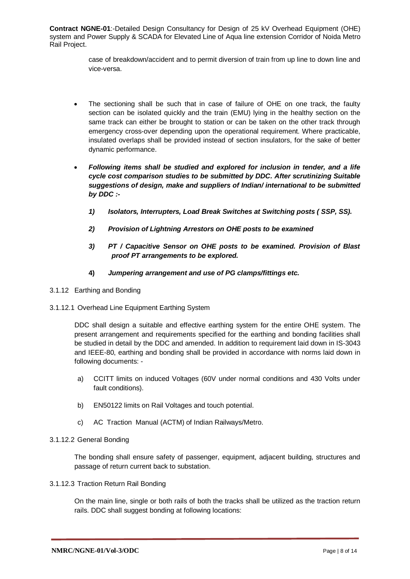> case of breakdown/accident and to permit diversion of train from up line to down line and vice-versa.

- The sectioning shall be such that in case of failure of OHE on one track, the faulty section can be isolated quickly and the train (EMU) lying in the healthy section on the same track can either be brought to station or can be taken on the other track through emergency cross-over depending upon the operational requirement. Where practicable, insulated overlaps shall be provided instead of section insulators, for the sake of better dynamic performance.
- *Following items shall be studied and explored for inclusion in tender, and a life cycle cost comparison studies to be submitted by DDC. After scrutinizing Suitable suggestions of design, make and suppliers of Indian/ international to be submitted by DDC :-*
	- *1) Isolators, Interrupters, Load Break Switches at Switching posts ( SSP, SS).*
	- *2) Provision of Lightning Arrestors on OHE posts to be examined*
	- *3) PT / Capacitive Sensor on OHE posts to be examined. Provision of Blast proof PT arrangements to be explored.*
	- **4)** *Jumpering arrangement and use of PG clamps/fittings etc.*
- 3.1.12 Earthing and Bonding
- 3.1.12.1 Overhead Line Equipment Earthing System

DDC shall design a suitable and effective earthing system for the entire OHE system. The present arrangement and requirements specified for the earthing and bonding facilities shall be studied in detail by the DDC and amended. In addition to requirement laid down in IS-3043 and IEEE-80, earthing and bonding shall be provided in accordance with norms laid down in following documents: -

- a) CCITT limits on induced Voltages (60V under normal conditions and 430 Volts under fault conditions).
- b) EN50122 limits on Rail Voltages and touch potential.
- c) AC Traction Manual (ACTM) of Indian Railways/Metro.

#### 3.1.12.2 General Bonding

The bonding shall ensure safety of passenger, equipment, adjacent building, structures and passage of return current back to substation.

#### 3.1.12.3 Traction Return Rail Bonding

On the main line, single or both rails of both the tracks shall be utilized as the traction return rails. DDC shall suggest bonding at following locations: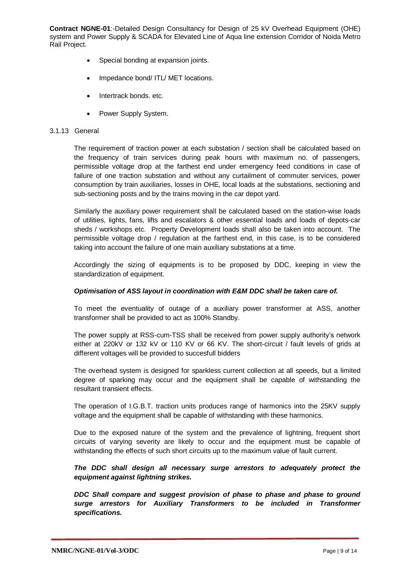- Special bonding at expansion joints.
- Impedance bond/ ITL/ MET locations.
- Intertrack bonds. etc.
- Power Supply System.

#### 3.1.13 General

The requirement of traction power at each substation / section shall be calculated based on the frequency of train services during peak hours with maximum no. of passengers, permissible voltage drop at the farthest end under emergency feed conditions in case of failure of one traction substation and without any curtailment of commuter services, power consumption by train auxiliaries, losses in OHE, local loads at the substations, sectioning and sub-sectioning posts and by the trains moving in the car depot yard.

Similarly the auxiliary power requirement shall be calculated based on the station-wise loads of utilities, lights, fans, lifts and escalators & other essential loads and loads of depots-car sheds / workshops etc. Property Development loads shall also be taken into account. The permissible voltage drop / regulation at the farthest end, in this case, is to be considered taking into account the failure of one main auxiliary substations at a time.

Accordingly the sizing of equipments is to be proposed by DDC, keeping in view the standardization of equipment.

#### *Optimisation of ASS layout in coordination with E&M DDC shall be taken care of.*

To meet the eventuality of outage of a auxiliary power transformer at ASS, another transformer shall be provided to act as 100% Standby.

The power supply at RSS-cum-TSS shall be received from power supply authority's network either at 220kV or 132 kV or 110 KV or 66 KV. The short-circuit / fault levels of grids at different voltages will be provided to succesfull bidders

The overhead system is designed for sparkless current collection at all speeds, but a limited degree of sparking may occur and the equipment shall be capable of withstanding the resultant transient effects.

The operation of I.G.B.T. traction units produces range of harmonics into the 25KV supply voltage and the equipment shall be capable of withstanding with these harmonics.

Due to the exposed nature of the system and the prevalence of lightning, frequent short circuits of varying severity are likely to occur and the equipment must be capable of withstanding the effects of such short circuits up to the maximum value of fault current.

# *The DDC shall design all necessary surge arrestors to adequately protect the equipment against lightning strikes.*

*DDC Shall compare and suggest provision of phase to phase and phase to ground surge arrestors for Auxiliary Transformers to be included in Transformer specifications.*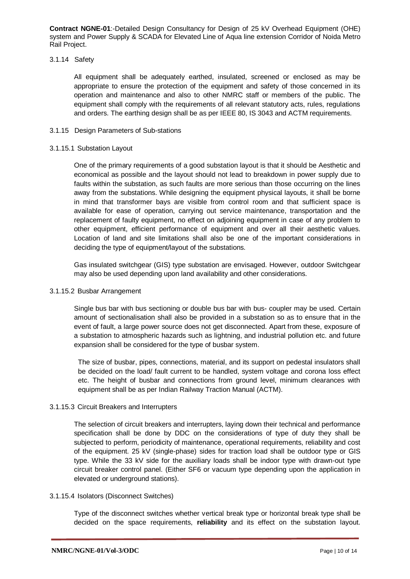#### 3.1.14 Safety

All equipment shall be adequately earthed, insulated, screened or enclosed as may be appropriate to ensure the protection of the equipment and safety of those concerned in its operation and maintenance and also to other NMRC staff or members of the public. The equipment shall comply with the requirements of all relevant statutory acts, rules, regulations and orders. The earthing design shall be as per IEEE 80, IS 3043 and ACTM requirements.

## 3.1.15 Design Parameters of Sub-stations

#### 3.1.15.1 Substation Layout

One of the primary requirements of a good substation layout is that it should be Aesthetic and economical as possible and the layout should not lead to breakdown in power supply due to faults within the substation, as such faults are more serious than those occurring on the lines away from the substations. While designing the equipment physical layouts, it shall be borne in mind that transformer bays are visible from control room and that sufficient space is available for ease of operation, carrying out service maintenance, transportation and the replacement of faulty equipment, no effect on adjoining equipment in case of any problem to other equipment, efficient performance of equipment and over all their aesthetic values. Location of land and site limitations shall also be one of the important considerations in deciding the type of equipment/layout of the substations.

Gas insulated switchgear (GIS) type substation are envisaged. However, outdoor Switchgear may also be used depending upon land availability and other considerations.

#### 3.1.15.2 Busbar Arrangement

Single bus bar with bus sectioning or double bus bar with bus- coupler may be used. Certain amount of sectionalisation shall also be provided in a substation so as to ensure that in the event of fault, a large power source does not get disconnected. Apart from these, exposure of a substation to atmospheric hazards such as lightning, and industrial pollution etc. and future expansion shall be considered for the type of busbar system.

The size of busbar, pipes, connections, material, and its support on pedestal insulators shall be decided on the load/ fault current to be handled, system voltage and corona loss effect etc. The height of busbar and connections from ground level, minimum clearances with equipment shall be as per Indian Railway Traction Manual (ACTM).

#### 3.1.15.3 Circuit Breakers and Interrupters

The selection of circuit breakers and interrupters, laying down their technical and performance specification shall be done by DDC on the considerations of type of duty they shall be subjected to perform, periodicity of maintenance, operational requirements, reliability and cost of the equipment. 25 kV (single-phase) sides for traction load shall be outdoor type or GIS type. While the 33 kV side for the auxiliary loads shall be indoor type with drawn-out type circuit breaker control panel. (Either SF6 or vacuum type depending upon the application in elevated or underground stations).

#### 3.1.15.4 Isolators (Disconnect Switches)

Type of the disconnect switches whether vertical break type or horizontal break type shall be decided on the space requirements, **reliability** and its effect on the substation layout.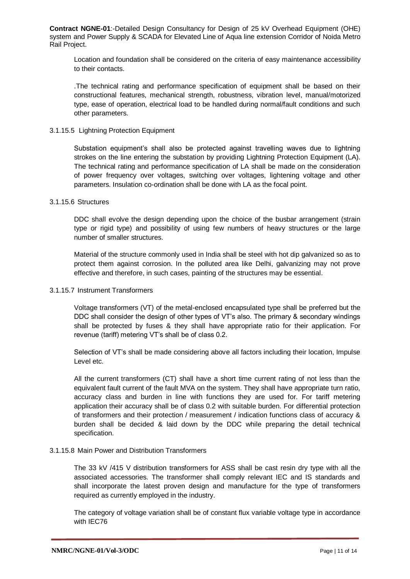Location and foundation shall be considered on the criteria of easy maintenance accessibility to their contacts.

.The technical rating and performance specification of equipment shall be based on their constructional features, mechanical strength, robustness, vibration level, manual/motorized type, ease of operation, electrical load to be handled during normal/fault conditions and such other parameters.

#### 3.1.15.5 Lightning Protection Equipment

Substation equipment's shall also be protected against travelling waves due to lightning strokes on the line entering the substation by providing Lightning Protection Equipment (LA). The technical rating and performance specification of LA shall be made on the consideration of power frequency over voltages, switching over voltages, lightening voltage and other parameters. Insulation co-ordination shall be done with LA as the focal point.

## 3.1.15.6 Structures

DDC shall evolve the design depending upon the choice of the busbar arrangement (strain type or rigid type) and possibility of using few numbers of heavy structures or the large number of smaller structures.

Material of the structure commonly used in India shall be steel with hot dip galvanized so as to protect them against corrosion. In the polluted area like Delhi, galvanizing may not prove effective and therefore, in such cases, painting of the structures may be essential.

# 3.1.15.7 Instrument Transformers

Voltage transformers (VT) of the metal-enclosed encapsulated type shall be preferred but the DDC shall consider the design of other types of VT's also. The primary & secondary windings shall be protected by fuses & they shall have appropriate ratio for their application. For revenue (tariff) metering VT's shall be of class 0.2.

Selection of VT's shall be made considering above all factors including their location, Impulse Level etc.

All the current transformers (CT) shall have a short time current rating of not less than the equivalent fault current of the fault MVA on the system. They shall have appropriate turn ratio, accuracy class and burden in line with functions they are used for. For tariff metering application their accuracy shall be of class 0.2 with suitable burden. For differential protection of transformers and their protection / measurement / indication functions class of accuracy & burden shall be decided & laid down by the DDC while preparing the detail technical specification.

# 3.1.15.8 Main Power and Distribution Transformers

The 33 kV /415 V distribution transformers for ASS shall be cast resin dry type with all the associated accessories. The transformer shall comply relevant IEC and IS standards and shall incorporate the latest proven design and manufacture for the type of transformers required as currently employed in the industry.

The category of voltage variation shall be of constant flux variable voltage type in accordance with IEC76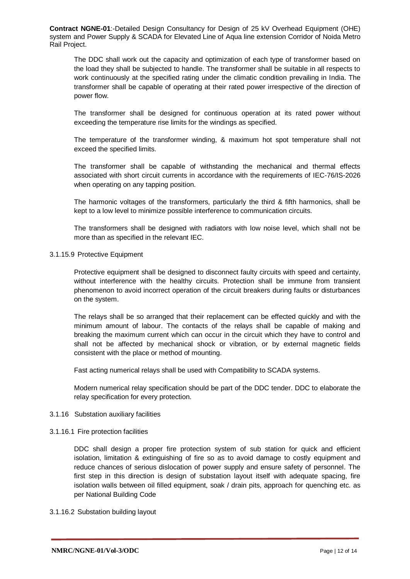The DDC shall work out the capacity and optimization of each type of transformer based on the load they shall be subjected to handle. The transformer shall be suitable in all respects to work continuously at the specified rating under the climatic condition prevailing in India. The transformer shall be capable of operating at their rated power irrespective of the direction of power flow.

The transformer shall be designed for continuous operation at its rated power without exceeding the temperature rise limits for the windings as specified.

The temperature of the transformer winding, & maximum hot spot temperature shall not exceed the specified limits.

The transformer shall be capable of withstanding the mechanical and thermal effects associated with short circuit currents in accordance with the requirements of IEC-76/IS-2026 when operating on any tapping position.

The harmonic voltages of the transformers, particularly the third & fifth harmonics, shall be kept to a low level to minimize possible interference to communication circuits.

The transformers shall be designed with radiators with low noise level, which shall not be more than as specified in the relevant IEC.

#### 3.1.15.9 Protective Equipment

Protective equipment shall be designed to disconnect faulty circuits with speed and certainty, without interference with the healthy circuits. Protection shall be immune from transient phenomenon to avoid incorrect operation of the circuit breakers during faults or disturbances on the system.

The relays shall be so arranged that their replacement can be effected quickly and with the minimum amount of labour. The contacts of the relays shall be capable of making and breaking the maximum current which can occur in the circuit which they have to control and shall not be affected by mechanical shock or vibration, or by external magnetic fields consistent with the place or method of mounting.

Fast acting numerical relays shall be used with Compatibility to SCADA systems.

Modern numerical relay specification should be part of the DDC tender. DDC to elaborate the relay specification for every protection.

# 3.1.16 Substation auxiliary facilities

#### 3.1.16.1 Fire protection facilities

DDC shall design a proper fire protection system of sub station for quick and efficient isolation, limitation & extinguishing of fire so as to avoid damage to costly equipment and reduce chances of serious dislocation of power supply and ensure safety of personnel. The first step in this direction is design of substation layout itself with adequate spacing, fire isolation walls between oil filled equipment, soak / drain pits, approach for quenching etc. as per National Building Code

# 3.1.16.2 Substation building layout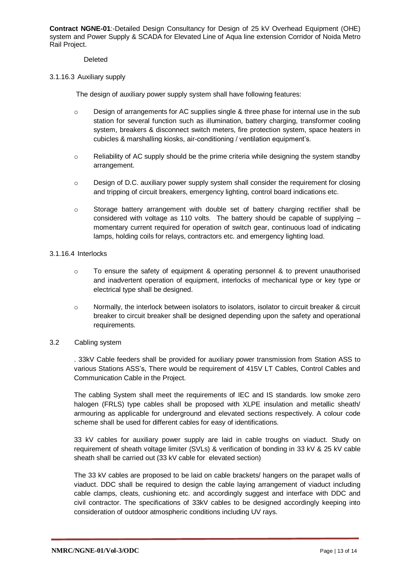Deleted

## 3.1.16.3 Auxiliary supply

The design of auxiliary power supply system shall have following features:

- o Design of arrangements for AC supplies single & three phase for internal use in the sub station for several function such as illumination, battery charging, transformer cooling system, breakers & disconnect switch meters, fire protection system, space heaters in cubicles & marshalling kiosks, air-conditioning / ventilation equipment's.
- $\circ$  Reliability of AC supply should be the prime criteria while designing the system standby arrangement.
- o Design of D.C. auxiliary power supply system shall consider the requirement for closing and tripping of circuit breakers, emergency lighting, control board indications etc.
- $\circ$  Storage battery arrangement with double set of battery charging rectifier shall be considered with voltage as 110 volts. The battery should be capable of supplying – momentary current required for operation of switch gear, continuous load of indicating lamps, holding coils for relays, contractors etc. and emergency lighting load.

## 3.1.16.4 Interlocks

- o To ensure the safety of equipment & operating personnel & to prevent unauthorised and inadvertent operation of equipment, interlocks of mechanical type or key type or electrical type shall be designed.
- $\circ$  Normally, the interlock between isolators to isolators, isolator to circuit breaker & circuit breaker to circuit breaker shall be designed depending upon the safety and operational requirements.

# 3.2 Cabling system

. 33kV Cable feeders shall be provided for auxiliary power transmission from Station ASS to various Stations ASS's, There would be requirement of 415V LT Cables, Control Cables and Communication Cable in the Project.

The cabling System shall meet the requirements of IEC and IS standards. low smoke zero halogen (FRLS) type cables shall be proposed with XLPE insulation and metallic sheath/ armouring as applicable for underground and elevated sections respectively. A colour code scheme shall be used for different cables for easy of identifications.

33 kV cables for auxiliary power supply are laid in cable troughs on viaduct. Study on requirement of sheath voltage limiter (SVLs) & verification of bonding in 33 kV & 25 kV cable sheath shall be carried out (33 kV cable for elevated section)

The 33 kV cables are proposed to be laid on cable brackets/ hangers on the parapet walls of viaduct. DDC shall be required to design the cable laying arrangement of viaduct including cable clamps, cleats, cushioning etc. and accordingly suggest and interface with DDC and civil contractor. The specifications of 33kV cables to be designed accordingly keeping into consideration of outdoor atmospheric conditions including UV rays.